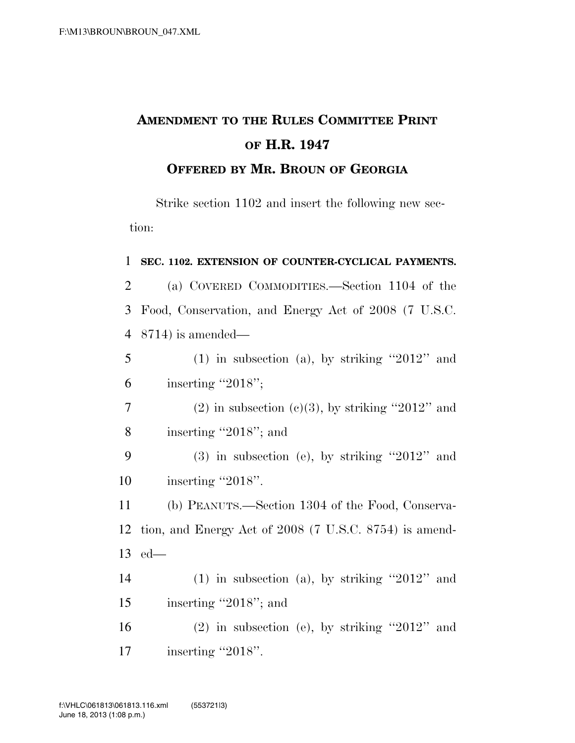## **AMENDMENT TO THE RULES COMMITTEE PRINT OF H.R. 1947 OFFERED BY MR. BROUN OF GEORGIA**

Strike section 1102 and insert the following new section:

## 1 **SEC. 1102. EXTENSION OF COUNTER-CYCLICAL PAYMENTS.**

2 (a) COVERED COMMODITIES.—Section 1104 of the 3 Food, Conservation, and Energy Act of 2008 (7 U.S.C. 4 8714) is amended—

 $5$  (1) in subsection (a), by striking "2012" and 6 inserting ''2018'';

7 (2) in subsection (c)(3), by striking "2012" and 8 inserting ''2018''; and

9 (3) in subsection (e), by striking ''2012'' and 10 inserting "2018".

11 (b) PEANUTS.—Section 1304 of the Food, Conserva-12 tion, and Energy Act of 2008 (7 U.S.C. 8754) is amend-13 ed—

14 (1) in subsection (a), by striking  $"2012"$  and 15 inserting "2018"; and

16 (2) in subsection (e), by striking  $"2012"$  and 17 inserting "2018".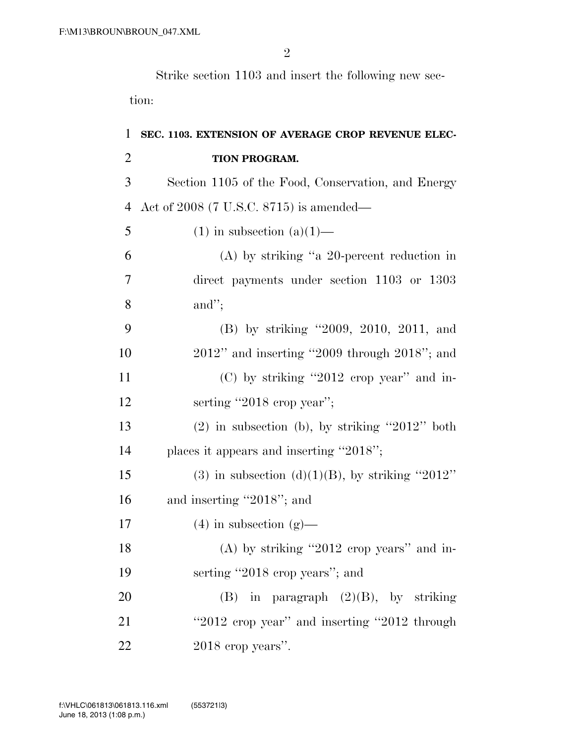Strike section 1103 and insert the following new section:

| $\mathbf{1}$   | SEC. 1103. EXTENSION OF AVERAGE CROP REVENUE ELEC- |
|----------------|----------------------------------------------------|
| $\overline{2}$ | TION PROGRAM.                                      |
| 3              | Section 1105 of the Food, Conservation, and Energy |
| $\overline{4}$ | Act of $2008$ (7 U.S.C. 8715) is amended—          |
| 5              | $(1)$ in subsection $(a)(1)$ —                     |
| 6              | $(A)$ by striking "a 20-percent reduction in       |
| $\overline{7}$ | direct payments under section 1103 or 1303         |
| 8              | and";                                              |
| 9              | (B) by striking "2009, 2010, 2011, and             |
| 10             | $2012"$ and inserting "2009 through $2018"$ ; and  |
| 11             | $(C)$ by striking "2012 erop year" and in-         |
| 12             | serting "2018 crop year";                          |
| 13             | $(2)$ in subsection (b), by striking "2012" both   |
| 14             | places it appears and inserting "2018";            |
| 15             | (3) in subsection (d)(1)(B), by striking "2012"    |
| 16             | and inserting "2018"; and                          |
| 17             | $(4)$ in subsection $(g)$ —                        |
| 18             | $(A)$ by striking "2012 erop years" and in-        |
| 19             | serting "2018 crop years"; and                     |
| 20             | (B) in paragraph $(2)(B)$ , by striking            |
| 21             | "2012 crop year" and inserting "2012 through       |
| 22             | $2018$ crop years".                                |